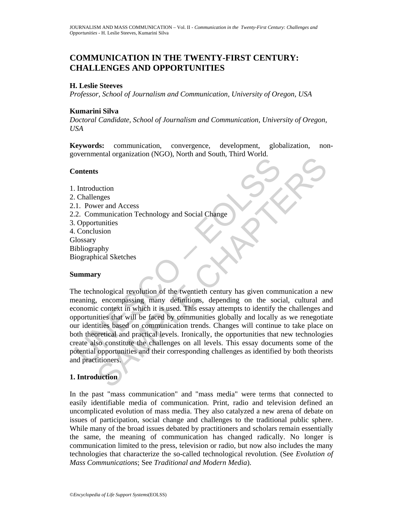# **COMMUNICATION IN THE TWENTY-FIRST CENTURY: CHALLENGES AND OPPORTUNITIES**

## **H. Leslie Steeves**

*Professor, School of Journalism and Communication, University of Oregon, USA* 

## **Kumarini Silva**

*Doctoral Candidate, School of Journalism and Communication, University of Oregon, USA* 

**Keywords:** communication, convergence, development, globalization, nongovernmental organization (NGO), North and South, Third World.

### **Contents**

- 1. Introduction 2. Challenges 2.1. Power and Access 2.2. Communication Technology and Social Change
- 3. Opportunities
- 4. Conclusion
- **Glossary**
- Bibliography
- Biographical Sketches

## **Summary**

Contents<br>
Introduction<br>
Introduction<br>
Challenges<br>
1. Power and Access<br>
2. Computuation Technology and Social Change<br>
Copportunities<br>
Conclusion<br>
Uncondusion<br>
Unconsisting many definitions, depending on the social<br>
conomic SAMPLE CONTROLL CONTROLL CONTROLL CONTROLL CONTROLL CONTROLL CONTROLL CONTROLL CONTROLL CONTROLL CONTROLL CONTROLL CONTROLL CONTROLL CONTROLL CONTROLL CONTROLL CONTROLL CONTROLL CONTROLL CONTROLL CONTROLL CONTROLL CONTROLL The technological revolution of the twentieth century has given communication a new meaning, encompassing many definitions, depending on the social, cultural and economic context in which it is used. This essay attempts to identify the challenges and opportunities that will be faced by communities globally and locally as we renegotiate our identities based on communication trends. Changes will continue to take place on both theoretical and practical levels. Ironically, the opportunities that new technologies create also constitute the challenges on all levels. This essay documents some of the potential opportunities and their corresponding challenges as identified by both theorists and practitioners.

## **1. Introduction**

In the past "mass communication" and "mass media" were terms that connected to easily identifiable media of communication. Print, radio and television defined an uncomplicated evolution of mass media. They also catalyzed a new arena of debate on issues of participation, social change and challenges to the traditional public sphere. While many of the broad issues debated by practitioners and scholars remain essentially the same, the meaning of communication has changed radically. No longer is communication limited to the press, television or radio, but now also includes the many technologies that characterize the so-called technological revolution. (See *Evolution of Mass Communications*; See *Traditional and Modern Media*).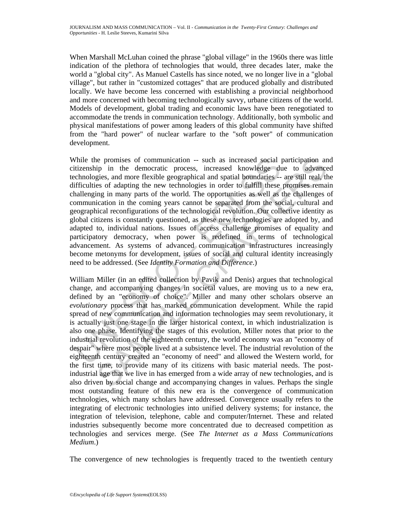When Marshall McLuhan coined the phrase "global village" in the 1960s there was little indication of the plethora of technologies that would, three decades later, make the world a "global city". As Manuel Castells has since noted, we no longer live in a "global village", but rather in "customized cottages" that are produced globally and distributed locally. We have become less concerned with establishing a provincial neighborhood and more concerned with becoming technologically savvy, urbane citizens of the world. Models of development, global trading and economic laws have been renegotiated to accommodate the trends in communication technology. Additionally, both symbolic and physical manifestations of power among leaders of this global community have shifted from the "hard power" of nuclear warfare to the "soft power" of communication development.

Thile the promises of communication – such as increased social pricitizenship in the democratic process, increased knowledge duchmologies, and more flexible geographical and spatial boundaries -<br>difficulties of adapting t While the promises of communication -- such as increased social participation and citizenship in the democratic process, increased knowledge due to advanced technologies, and more flexible geographical and spatial boundaries -- are still real, the difficulties of adapting the new technologies in order to fulfill these promises remain challenging in many parts of the world. The opportunities as well as the challenges of communication in the coming years cannot be separated from the social, cultural and geographical reconfigurations of the technological revolution. Our collective identity as global citizens is constantly questioned, as these new technologies are adopted by, and adapted to, individual nations. Issues of access challenge promises of equality and participatory democracy, when power is redefined in terms of technological advancement. As systems of advanced communication infrastructures increasingly become metonyms for development, issues of social and cultural identity increasingly need to be addressed. (See *Identity Formation and Difference*.)

ie promises of communication — such as increased social participation an<br>ip in the denocratic process, increased knowledge due to advance<br>gies, and more fexible geographical and spatial boundaries — are still real, the<br>set William Miller (in an edited collection by Pavik and Denis) argues that technological change, and accompanying changes in societal values, are moving us to a new era, defined by an "economy of choice". Miller and many other scholars observe an *evolutionary* process that has marked communication development. While the rapid spread of new communication and information technologies may seem revolutionary, it is actually just one stage in the larger historical context, in which industrialization is also one phase. Identifying the stages of this evolution, Miller notes that prior to the industrial revolution of the eighteenth century, the world economy was an "economy of despair" where most people lived at a subsistence level. The industrial revolution of the eighteenth century created an "economy of need" and allowed the Western world, for the first time, to provide many of its citizens with basic material needs. The postindustrial age that we live in has emerged from a wide array of new technologies, and is also driven by social change and accompanying changes in values. Perhaps the single most outstanding feature of this new era is the convergence of communication technologies, which many scholars have addressed. Convergence usually refers to the integrating of electronic technologies into unified delivery systems; for instance, the integration of television, telephone, cable and computer/Internet. These and related industries subsequently become more concentrated due to decreased competition as technologies and services merge. (See *The Internet as a Mass Communications Medium*.)

The convergence of new technologies is frequently traced to the twentieth century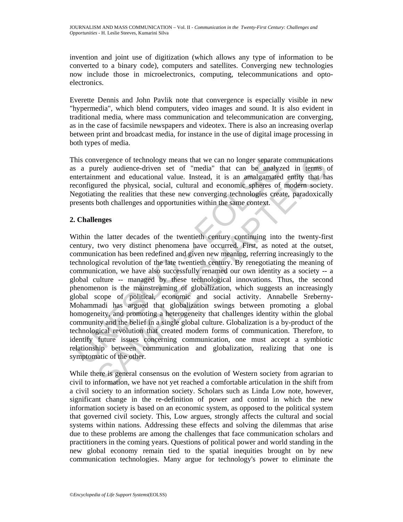invention and joint use of digitization (which allows any type of information to be converted to a binary code), computers and satellites. Converging new technologies now include those in microelectronics, computing, telecommunications and optoelectronics.

Everette Dennis and John Pavlik note that convergence is especially visible in new "hypermedia", which blend computers, video images and sound. It is also evident in traditional media, where mass communication and telecommunication are converging, as in the case of facsimile newspapers and videotex. There is also an increasing overlap between print and broadcast media, for instance in the use of digital image processing in both types of media.

This convergence of technology means that we can no longer separate communications as a purely audience-driven set of "media" that can be analyzed in terms of entertainment and educational value. Instead, it is an amalgamated entity that has reconfigured the physical, social, cultural and economic spheres of modern society. Negotiating the realities that these new converging technologies create, paradoxically presents both challenges and opportunities within the same context.

## **2. Challenges**

his convergence of technology means that we can no longer separate<br>a purely audience-driven set of "media" that can be analyze<br>configured and educational value. Instead, it is an amalgametre<br>configured the physical, social vergence of technology means that we can no longer separate communication<br>relay audience-divient set of "media" that can be analyzed in terms<br>comment and educational value. Instead, it is an amalgamated entity that has<br>red Within the latter decades of the twentieth century continuing into the twenty-first century, two very distinct phenomena have occurred. First, as noted at the outset, communication has been redefined and given new meaning, referring increasingly to the technological revolution of the late twentieth century. By renegotiating the meaning of communication, we have also successfully renamed our own identity as a society -- a global culture -- managed by these technological innovations. Thus, the second phenomenon is the mainstreaming of globalization, which suggests an increasingly global scope of political, economic and social activity. Annabelle Sreberny-Mohammadi has argued that globalization swings between promoting a global homogeneity, and promoting a heterogeneity that challenges identity within the global community and the belief in a single global culture. Globalization is a by-product of the technological revolution that created modern forms of communication. Therefore, to identify future issues concerning communication, one must accept a symbiotic relationship between communication and globalization, realizing that one is symptomatic of the other.

While there is general consensus on the evolution of Western society from agrarian to civil to information, we have not yet reached a comfortable articulation in the shift from a civil society to an information society. Scholars such as Linda Low note, however, significant change in the re-definition of power and control in which the new information society is based on an economic system, as opposed to the political system that governed civil society. This, Low argues, strongly affects the cultural and social systems within nations. Addressing these effects and solving the dilemmas that arise due to these problems are among the challenges that face communication scholars and practitioners in the coming years. Questions of political power and world standing in the new global economy remain tied to the spatial inequities brought on by new communication technologies. Many argue for technology's power to eliminate the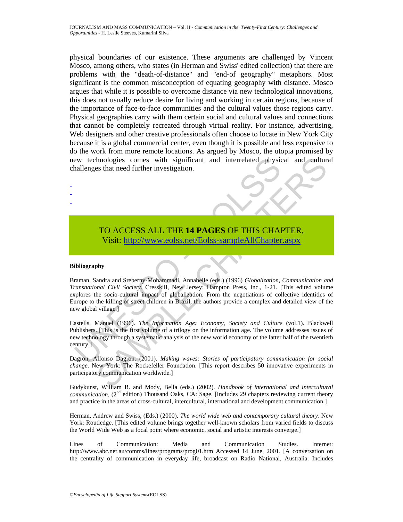physical boundaries of our existence. These arguments are challenged by Vincent Mosco, among others, who states (in Herman and Swiss' edited collection) that there are problems with the "death-of-distance" and "end-of geography" metaphors. Most significant is the common misconception of equating geography with distance. Mosco argues that while it is possible to overcome distance via new technological innovations, this does not usually reduce desire for living and working in certain regions, because of the importance of face-to-face communities and the cultural values those regions carry. Physical geographies carry with them certain social and cultural values and connections that cannot be completely recreated through virtual reality. For instance, advertising, Web designers and other creative professionals often choose to locate in New York City because it is a global commercial center, even though it is possible and less expensive to do the work from more remote locations. As argued by Mosco, the utopia promised by new technologies comes with significant and interrelated physical and cultural challenges that need further investigation.

# TO ACCESS ALL THE **14 PAGES** OF THIS CHAPTER, Visit: http://www.eolss.net/Eolss-sampleAllChapter.aspx

#### **Bibliography**

- - -

Evaluated physics and interrelated physicanallenges that need further investigation.<br>
TO ACCESS ALL THE 14 PAGES OF THIS CHA<br>
Visit: http://www.colss.net/Eolss-sampleAllChapter<br>
interantational Civil Society. Cresskill, Ne Inclosies comes with significant and interrelated physical and culture<br>
Se shat need further investigation.<br>
Se shat need further investigation.<br>
TO ACCESS ALL THE 14 PAGES OF THIS C[HAP](https://www.eolss.net/ebooklib/sc_cart.aspx?File=E6-33-04-04)TER,<br>
Visit: http://www.eolss.net/Eol Braman, Sandra and Sreberny-Mohammadi, Annabelle (eds.) (1996) *Globalization, Communication and Transnational Civil Society*. Cresskill, New Jersey: Hampton Press, Inc., 1-21. [This edited volume explores the socio-cultural impact of globalization. From the negotiations of collective identities of Europe to the killing of street children in Brazil, the authors provide a complex and detailed view of the new global village.]

Castells, Manuel (1996). *The Information Age: Economy, Society and Culture* (vol.1). Blackwell Publishers. [This is the first volume of a trilogy on the information age. The volume addresses issues of new technology through a systematic analysis of the new world economy of the latter half of the twentieth century.]

Dagron, Alfonso Dagron. (2001). *Making waves: Stories of participatory communication for social change*. New York: The Rockefeller Foundation. [This report describes 50 innovative experiments in participatory communication worldwide.]

Gudykunst, William B. and Mody, Bella (eds.) (2002). *Handbook of international and intercultural communication,* (2<sup>nd</sup> edition) Thousand Oaks, CA: Sage. [Includes 29 chapters reviewing current theory and practice in the areas of cross-cultural, intercultural, international and development communication.]

Herman, Andrew and Swiss, (Eds.) (2000). *The world wide web and contemporary cultural theory*. New York: Routledge. [This edited volume brings together well-known scholars from varied fields to discuss the World Wide Web as a focal point where economic, social and artistic interests converge.]

Lines of Communication: Media and Communication Studies. Internet: http://www.abc.net.au/comms/lines/programs/prog01.htm Accessed 14 June, 2001. [A conversation on the centrality of communication in everyday life, broadcast on Radio National, Australia. Includes